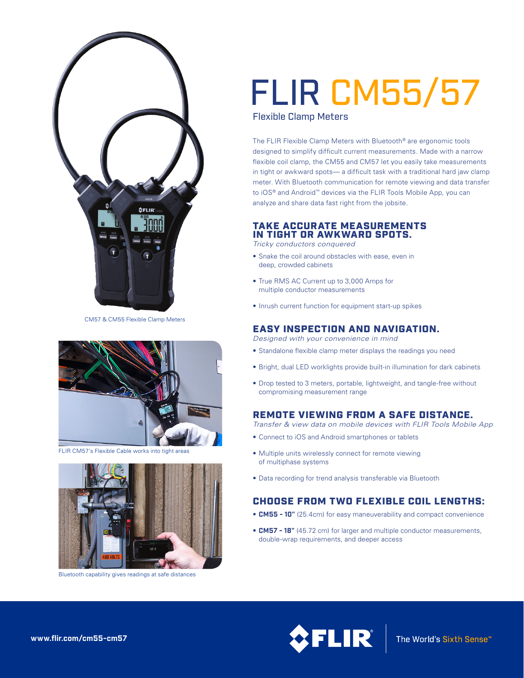

CM57 & CM55 Flexible Clamp Meters



FLIR CM57's Flexible Cable works into tight areas



Bluetooth capability gives readings at safe distances

# FLIR CM55/57

Flexible Clamp Meters

The FLIR Flexible Clamp Meters with Bluetooth® are ergonomic tools designed to simplify difficult current measurements. Made with a narrow flexible coil clamp, the CM55 and CM57 let you easily take measurements in tight or awkward spots— a difficult task with a traditional hard jaw clamp meter. With Bluetooth communication for remote viewing and data transfer to iOS® and Android™ devices via the FLIR Tools Mobile App, you can analyze and share data fast right from the jobsite.

### TAKE ACCURATE MEASUREMENTS IN TIGHT OR AWKWARD SPOTS.

*Tricky conductors conquered*

- Snake the coil around obstacles with ease, even in deep, crowded cabinets
- True RMS AC Current up to 3,000 Amps for multiple conductor measurements
- Inrush current function for equipment start-up spikes

#### EASY INSPECTION AND NAVIGATION.

*Designed with your convenience in mind*

- Standalone flexible clamp meter displays the readings you need
- Bright, dual LED worklights provide built-in illumination for dark cabinets
- Drop tested to 3 meters, portable, lightweight, and tangle-free without compromising measurement range

## REMOTE VIEWING FROM A SAFE DISTANCE.

*Transfer & view data on mobile devices with FLIR Tools Mobile App*

- Connect to iOS and Android smartphones or tablets
- Multiple units wirelessly connect for remote viewing of multiphase systems
- Data recording for trend analysis transferable via Bluetooth

# CHOOSE FROM TWO FLEXIBLE COIL LENGTHS:

- **CM55 10"** (25.4cm) for easy maneuverability and compact convenience
- **CM57 18"** (45.72 cm) for larger and multiple conductor measurements, double-wrap requirements, and deeper access